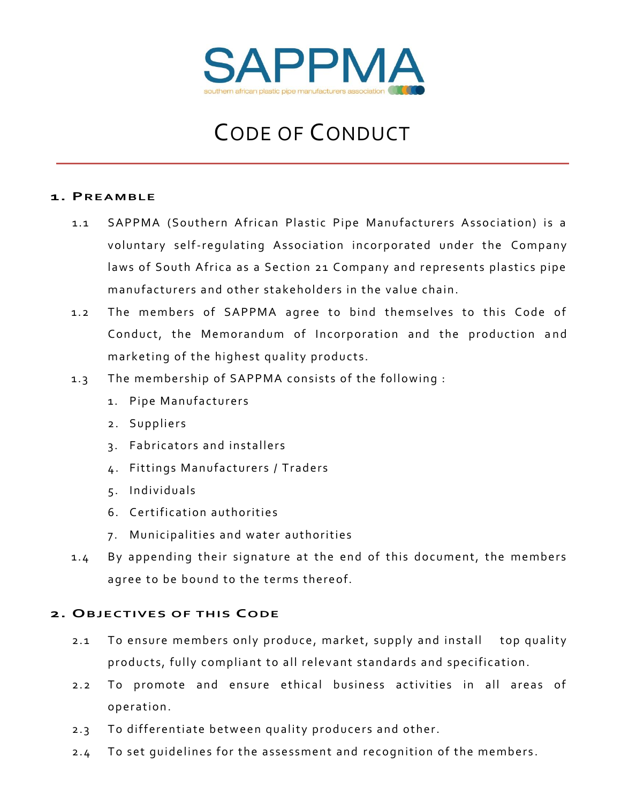

# CODE OF CONDUCT

### **1. PREAMBLE**

- 1.1 SAPPMA (Southern African Plastic Pipe Manufacturers Association) is a voluntary self-regulating Association incorporated under the Company laws of South Africa as a Section 21 Company and represents plastics pipe manufacturers and other stakeholders in the value chain.
- 1.2 The members of SAPPMA agree to bind themselves to this Code of Conduct, the Memorandum of Incorporation and the production and marketing of the highest quality products.
- 1.3 The membership of SAPPMA consists of the following :
	- 1. Pipe Manufacturers
	- 2. Suppliers
	- 3. Fabricators and installers
	- 4. Fittings Manufacturers / Traders
	- 5. Individuals
	- 6. Certification authorities
	- 7. Municipalities and water authorities
- 1.4 By appending their signature at the end of this document, the members agree to be bound to the terms thereof.

### **2. OBJECTIVES OF THIS CODE**

- 2.1 To ensure members only produce, market, supply and install top quality products, fully compliant to all relevant standards and specification.
- 2.2 To promote and ensure ethical business activities in all areas of operation.
- 2.3 To differentiate between quality producers and other.
- 2.4 To set quidelines for the assessment and recognition of the members.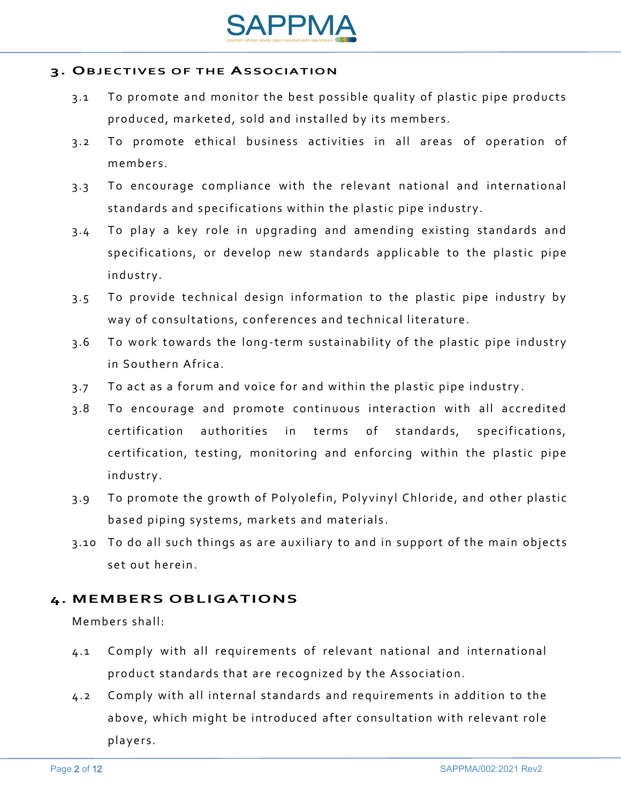

### **3. OBJECTIVES OF THE ASSOCIATION**

- 3.1 To promote and monitor the best possible quality of plastic pipe products produced, marketed, sold and installed by its members.
- 3.2 To promote ethical business activities in all areas of operation of members.
- 3.3 To encourage compliance with the relevant national and international standards and specifications within the plastic pipe industry.
- 3.4 To play a key role in upgrading and amending existing standards and specifications, or develop new standards applicable to the plastic pipe ind ustry.
- 3.5 To provide technical design information to the plastic pipe industry by way of consultations, conferences and technical literature.
- 3.6 To work towards the long-term sustainability of the plastic pipe industry in Southern Africa.
- 3.7 To act as a forum and voice for and within the plastic pipe industry.
- 3.8 To encourage and promote continuous interaction with all accredited certification authorities in terms of standards, specifications, certification, testing, monitoring and enforcing within the plastic pipe ind ustry.
- 3.9 To promote the growth of Polyolefin, Polyvinyl Chloride, and other plastic based piping systems, markets and materials.
- 3.10 To do all such things as are auxiliary to and in support of the main objects set out herein.

# **4. MEMBERS OBLIGATIONS**

Members shall ·

- 4.1 Comply with all requirements of relevant national and international product standards that are recognized by the Association.
- 4.2 Comply with all internal standards and requirements in addition to the above, which might be introduced after consultation with relevant role players.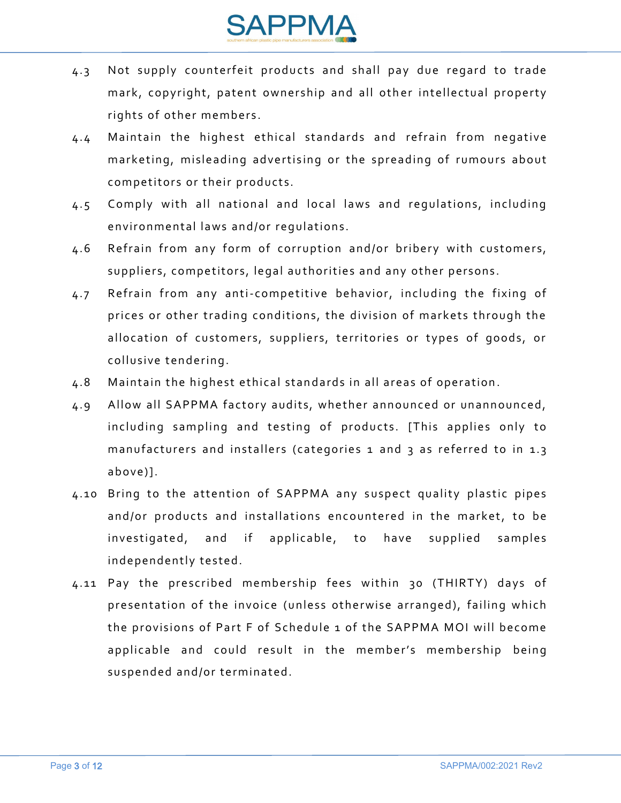

- 4.3 Not supply counterfeit products and shall pay due regard to trade mark, copyright, patent ownership and all other intellectual property rights of other members.
- 4.4 Maintain the highest ethical standards and refrain from negative marketing, misleading advertising or the spreading of rumours about competitors or their products.
- 4.5 Comply with all national and local laws and regulations, including environmental laws and/or requlations.
- 4.6 Refrain from any form of corruption and/or bribery with customers, suppliers, competitors, legal authorities and any other persons.
- 4.7 Refrain from any anti-competitive behavior, including the fixing of prices or other trading conditions, the division of markets through the allocation of customers, suppliers, territories or types of goods, or collusive tendering.
- 4.8 Maintain the highest ethical standards in all areas of operation.
- 4.9 Allow all SAPPMA factory audits, whether announced or unannounced, including sampling and testing of products. [This applies only to manufacturers and installers (categories 1 and 3 as referred to in 1.3 above)].
- 4.10 Bring to the attention of SAPPMA any suspect quality plastic pipes and/or products and installations encountered in the market, to be investigated, and if applicable, to have supplied samples independently tested.
- 4.11 Pay the prescribed membership fees within 30 (THIRTY) days of presentation of the invoice (unless otherwise arranged), failing which the provisions of Part F of Schedule 1 of the SAPPMA MOI will become applicable and could result in the member's membership being suspended and/or terminated.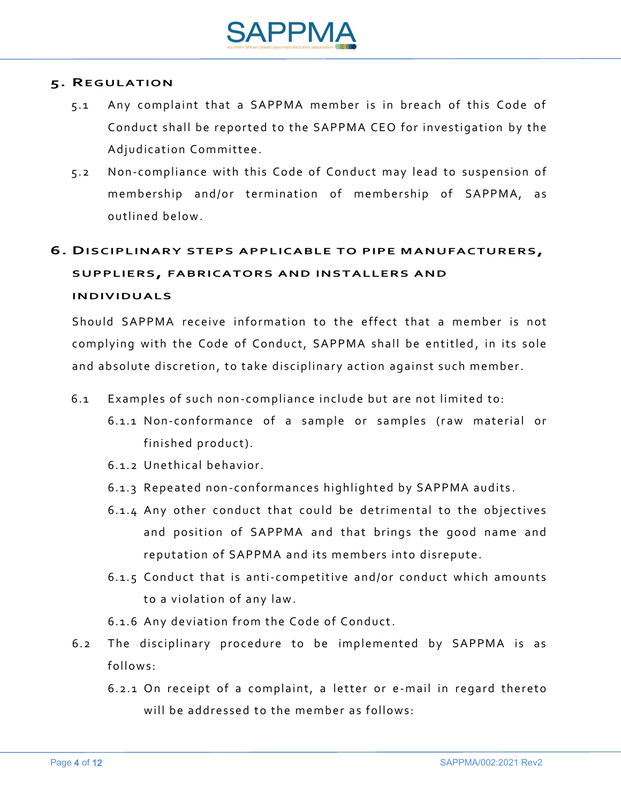

### **5. REGULATION**

- 5.1 Any complaint that a SAPPMA member is in breach of this Code of Conduct shall be reported to the SAPPMA CEO for investigation by the Adjudication Committee.
- 5.2 Non-compliance with this Code of Conduct may lead to suspension of membership and/or termination of membership of SAPPMA, as outlined below.

# **6. DISCIPLINARY STEPS APPLICABLE TO PIPE MANUFACTURERS, SUPPLIERS, FABRICATORS AND INSTALLERS AND INDIVIDUALS**

Should SAPPMA receive information to the effect that a member is not complying with the Code of Conduct, SAPPMA shall be entitled, in its sole and absolute discretion, to take disciplinary action against such member.

- 6.1 Examples of such non-compliance include but are not limited to:
	- 6.1.1 Non-conformance of a sample or samples (raw material or finished product).
	- $6.1$  2 Unethical behavior
	- 6.1.3 Repeated non-conformances highlighted by SAPPMA audits.
	- 6.1.4 Any other conduct that could be detrimental to the objectives and position of SAPPMA and that brings the good name and reputation of SAPPMA and its members into disrepute.
	- 6.1.5 Conduct that is anti-competitive and/or conduct which amounts to a violation of any law.
	- 6.1.6 Any deviation from the Code of Conduct.
- 6.2 The disciplinary procedure to be implemented by SAPPMA is as follows:
	- $6.2.1$  On receipt of a complaint, a letter or e-mail in regard thereto will be addressed to the member as follows: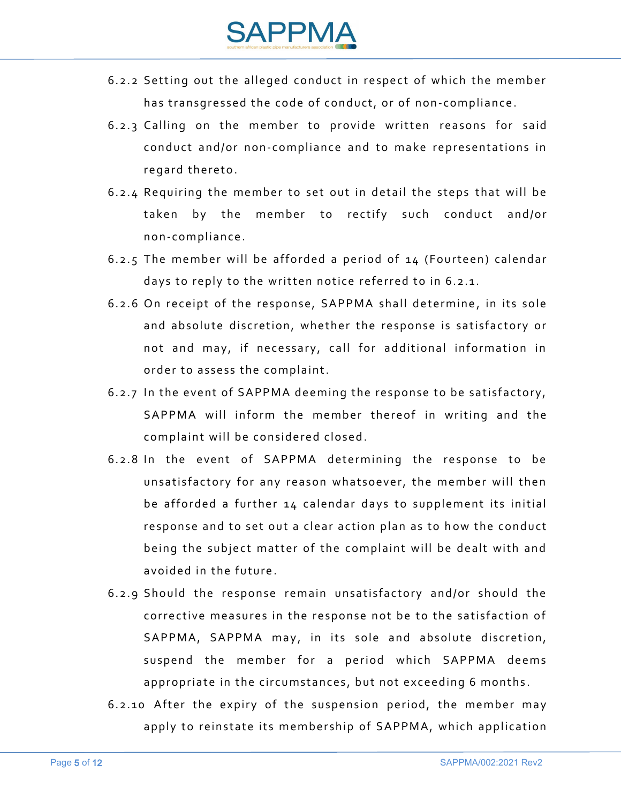

- 6.2.2 Setting out the alleged conduct in respect of which the member has transgressed the code of conduct, or of non-compliance.
- 6.2.3 Calling on the member to provide written reasons for said conduct and/or non-compliance and to make representations in regard thereto.
- $6.2.4$  Requiring the member to set out in detail the steps that will be taken by the member to rectify such conduct and/or n on-c om plian c e.
- 6.2.5 The member will be afforded a period of  $14$  (Fourteen) calendar days to reply to the written notice referred to in 6.2.1.
- 6.2.6 On receipt of the response, SAPPMA shall determine, in its sole and absolute discretion, whether the response is satisfactory or not and may, if necessary, call for additional information in order to assess the complaint.
- 6.2.7 In the event of SAPPMA deeming the response to be satisfactory, SAPPMA will inform the member thereof in writing and the complaint will be considered closed.
- 6.2.8 In the event of SAPPMA determining the response to be unsatisfactory for any reason whatsoever, the member will then be afforded a further 14 calendar days to supplement its initial response and to set out a clear action plan as to how the conduct being the subject matter of the complaint will be dealt with and avoided in the future.
- 6.2.9 Should the response remain unsatisfactory and/or should the corrective measures in the response not be to the satisfaction of SAPPMA, SAPPMA may, in its sole and absolute discretion, suspend the member for a period which SAPPMA deems appropriate in the circumstances, but not exceeding 6 months.
- 6.2.10 After the expiry of the suspension period, the member may apply to reinstate its membership of SAPPMA, which application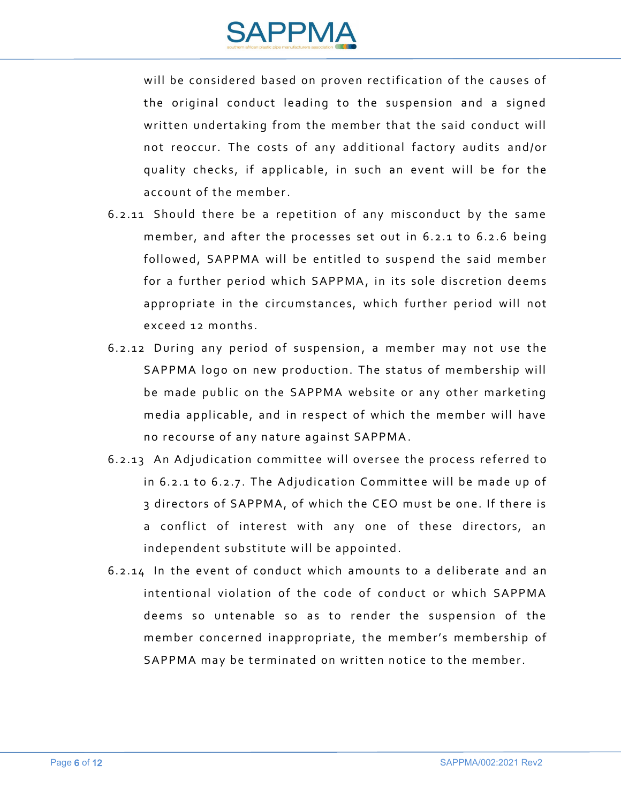

will be considered based on proven rectification of the causes of the original conduct leading to the suspension and a signed written undertaking from the member that the said conduct will not reoccur. The costs of any additional factory audits and/or quality checks, if applicable, in such an event will be for the account of the member.

- $6.2.11$  Should there be a repetition of any misconduct by the same member, and after the processes set out in  $6.2.1$  to  $6.2.6$  being followed, SAPPMA will be entitled to suspend the said member for a further period which SAPPMA, in its sole discretion deems appropriate in the circumstances, which further period will not exceed 12 months.
- 6.2.12 During any period of suspension, a member may not use the SAPPMA logo on new production. The status of membership will be made public on the SAPPMA website or any other marketing media applicable, and in respect of which the member will have no recourse of any nature against SAPPMA.
- 6.2.13 An Adjudication committee will oversee the process referred to in  $6.2.1$  to  $6.2.7$ . The Adjudication Committee will be made up of 3 directors of SAPPMA, of which the CEO must be one. If there is a conflict of interest with any one of these directors, an independent substitute will be appointed.
- $6.2.14$  In the event of conduct which amounts to a deliberate and an intentional violation of the code of conduct or which SAPPMA deems so untenable so as to render the suspension of the member concerned inappropriate, the member's membership of SAPPMA may be terminated on written notice to the member.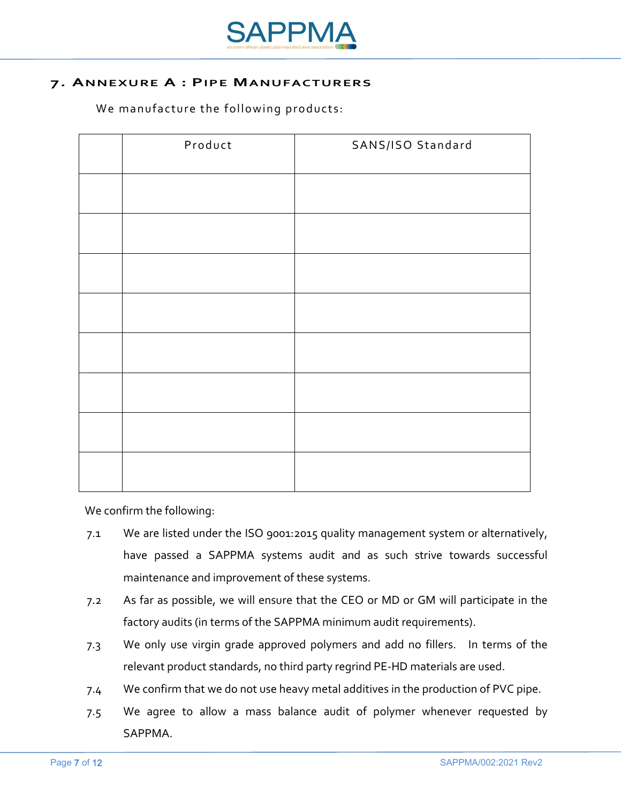

### **7. ANNEXURE A : PIPE MANUFACTURERS**

We manufacture the following products:

| Product | SANS/ISO Standard |
|---------|-------------------|
|         |                   |
|         |                   |
|         |                   |
|         |                   |
|         |                   |
|         |                   |
|         |                   |
|         |                   |

We confirm the following:

- 7.1 We are listed under the ISO 9001:2015 quality management system or alternatively, have passed a SAPPMA systems audit and as such strive towards successful maintenance and improvement of these systems.
- 7.2 As far as possible, we will ensure that the CEO or MD or GM will participate in the factory audits (in terms of the SAPPMA minimum audit requirements).
- 7.3 We only use virgin grade approved polymers and add no fillers. In terms of the relevant product standards, no third party regrind PE-HD materials are used.
- 7.4 We confirm that we do not use heavy metal additives in the production of PVC pipe.
- 7.5 We agree to allow a mass balance audit of polymer whenever requested by SAPPMA.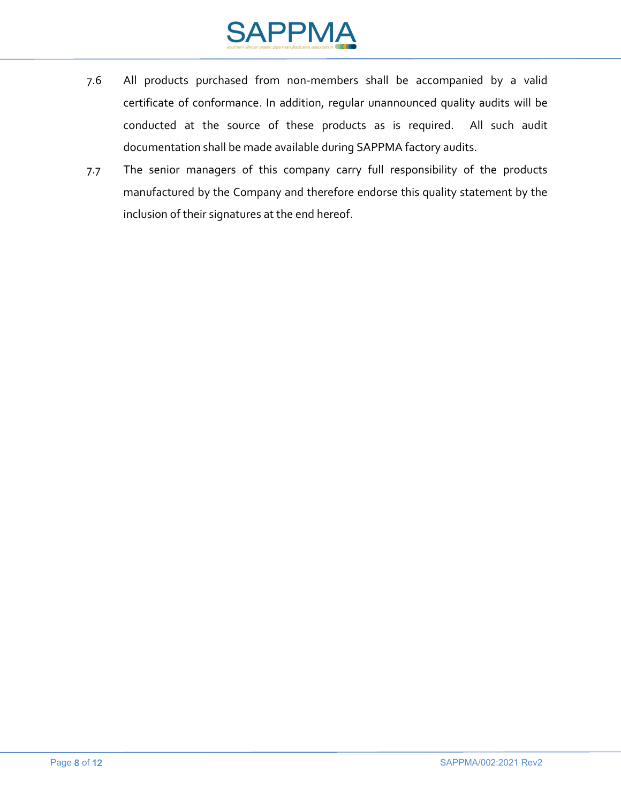

- 7.6 All products purchased from non-members shall be accompanied by a valid certificate of conformance. In addition, regular unannounced quality audits will be conducted at the source of these products as is required. All such audit documentation shall be made available during SAPPMA factory audits.
- 7.7 The senior managers of this company carry full responsibility of the products manufactured by the Company and therefore endorse this quality statement by the inclusion of their signatures at the end hereof.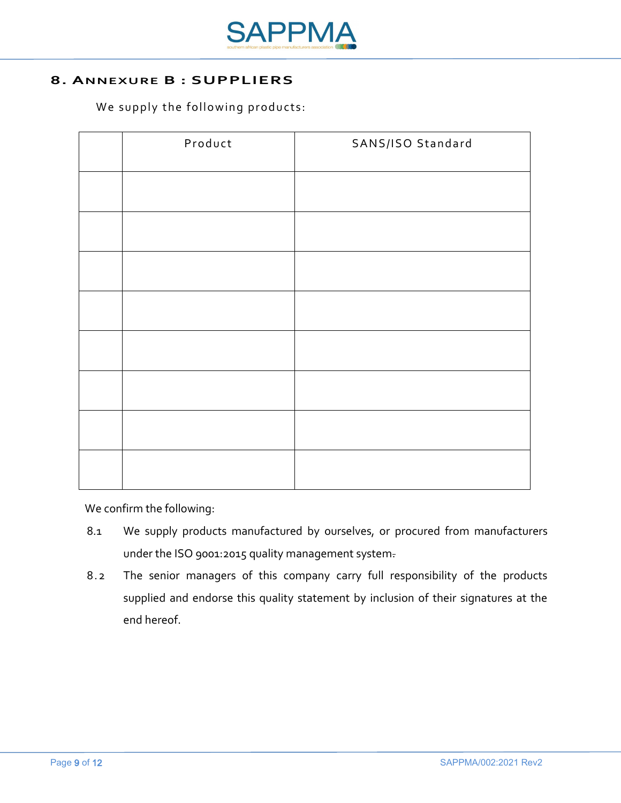

# **8. ANNEXURE B : SUPPLIERS**

We supply the following products:

| Product | SANS/ISO Standard |
|---------|-------------------|
|         |                   |
|         |                   |
|         |                   |
|         |                   |
|         |                   |
|         |                   |
|         |                   |
|         |                   |

We confirm the following:

- 8.1 We supply products manufactured by ourselves, or procured from manufacturers under the ISO 9001:2015 quality management system.
- 8.2 The senior managers of this company carry full responsibility of the products supplied and endorse this quality statement by inclusion of their signatures at the end hereof.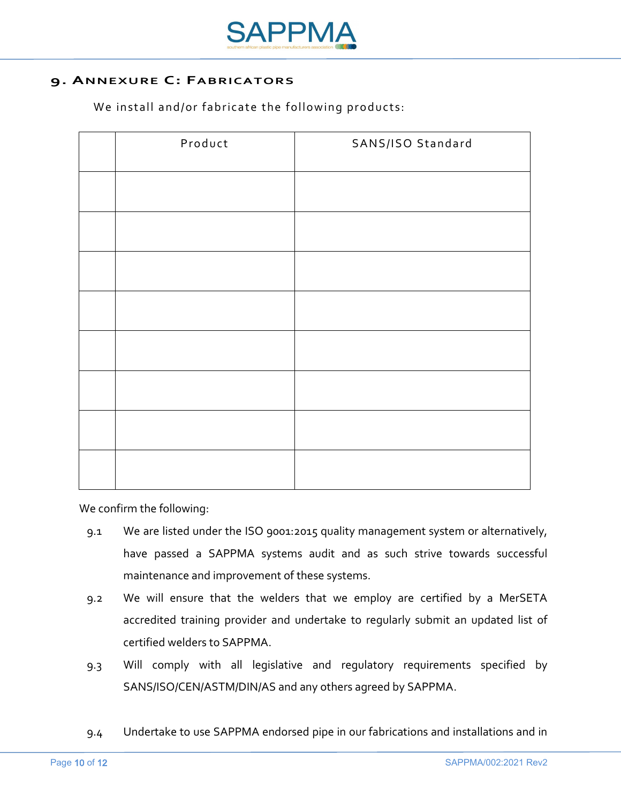

# **9. ANNEXURE C: FABRICATORS**

We install and/or fabricate the following products:

| Product | SANS/ISO Standard |
|---------|-------------------|
|         |                   |
|         |                   |
|         |                   |
|         |                   |
|         |                   |
|         |                   |
|         |                   |
|         |                   |

We confirm the following:

- 9.1 We are listed under the ISO 9001:2015 quality management system or alternatively, have passed a SAPPMA systems audit and as such strive towards successful maintenance and improvement of these systems.
- 9.2 We will ensure that the welders that we employ are certified by a MerSETA accredited training provider and undertake to regularly submit an updated list of certified welders to SAPPMA.
- 9.3 Will comply with all legislative and regulatory requirements specified by SANS/ISO/CEN/ASTM/DIN/AS and any others agreed by SAPPMA.
- 9.4 Undertake to use SAPPMA endorsed pipe in our fabrications and installations and in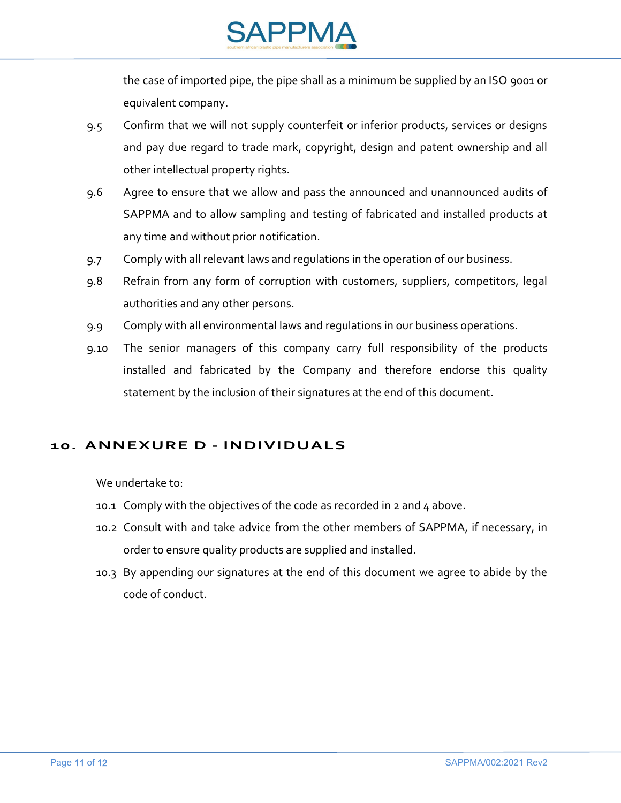

the case of imported pipe, the pipe shall as a minimum be supplied by an ISO 9001 or equivalent company.

- 9.5 Confirm that we will not supply counterfeit or inferior products, services or designs and pay due regard to trade mark, copyright, design and patent ownership and all other intellectual property rights.
- 9.6 Agree to ensure that we allow and pass the announced and unannounced audits of SAPPMA and to allow sampling and testing of fabricated and installed products at any time and without prior notification.
- 9.7 Comply with all relevant laws and regulations in the operation of our business.
- 9.8 Refrain from any form of corruption with customers, suppliers, competitors, legal authorities and any other persons.
- 9.9 Comply with all environmental laws and regulations in our business operations.
- 9.10 The senior managers of this company carry full responsibility of the products installed and fabricated by the Company and therefore endorse this quality statement by the inclusion of their signatures at the end of this document.

# **10. ANNEXURE D - INDIVIDUALS**

We undertake to:

- 10.1 Comply with the objectives of the code as recorded in 2 and  $4$  above.
- 10.2 Consult with and take advice from the other members of SAPPMA, if necessary, in order to ensure quality products are supplied and installed.
- 10.3 By appending our signatures at the end of this document we agree to abide by the code of conduct.